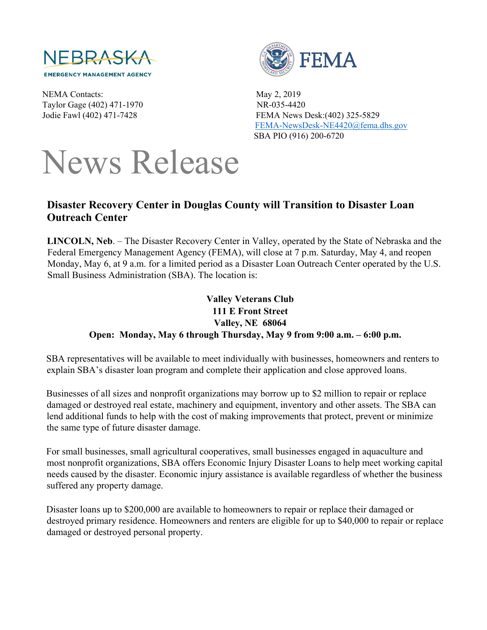

NEMA Contacts: May 2, 2019 Taylor Gage (402) 471-1970 NR-035-4420



Jodie Fawl (402) 471-7428 FEMA News Desk:(402) 325-5829 [FEMA-NewsDesk-NE4420@fema.dhs.gov](mailto:FEMA-NewsDesk-NE4420@fema.dhs.gov)  SBA PIO (916) 200-6720

## News Release

## **Disaster Recovery Center in Douglas County will Transition to Disaster Loan Outreach Center**

**LINCOLN, Neb**. – The Disaster Recovery Center in Valley, operated by the State of Nebraska and the Federal Emergency Management Agency (FEMA), will close at 7 p.m. Saturday, May 4, and reopen Monday, May 6, at 9 a.m. for a limited period as a Disaster Loan Outreach Center operated by the U.S. Small Business Administration (SBA). The location is:

## **Valley Veterans Club 111 E Front Street Valley, NE 68064 Open: Monday, May 6 through Thursday, May 9 from 9:00 a.m. – 6:00 p.m.**

SBA representatives will be available to meet individually with businesses, homeowners and renters to explain SBA's disaster loan program and complete their application and close approved loans.

Businesses of all sizes and nonprofit organizations may borrow up to \$2 million to repair or replace damaged or destroyed real estate, machinery and equipment, inventory and other assets. The SBA can lend additional funds to help with the cost of making improvements that protect, prevent or minimize the same type of future disaster damage.

For small businesses, small agricultural cooperatives, small businesses engaged in aquaculture and most nonprofit organizations, SBA offers Economic Injury Disaster Loans to help meet working capital needs caused by the disaster. Economic injury assistance is available regardless of whether the business suffered any property damage.

Disaster loans up to \$200,000 are available to homeowners to repair or replace their damaged or destroyed primary residence. Homeowners and renters are eligible for up to \$40,000 to repair or replace damaged or destroyed personal property.